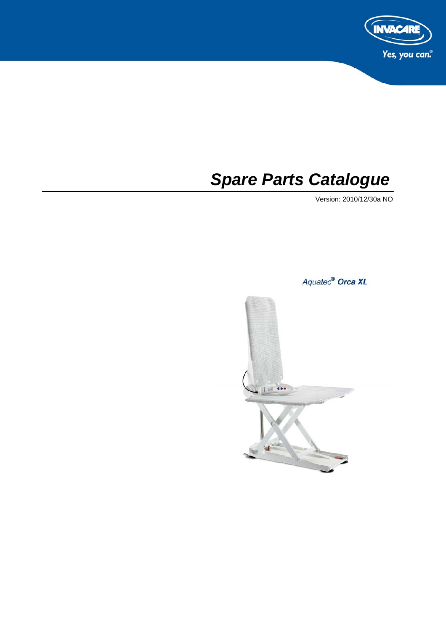

# *Spare Parts Catalogue*

Version: 2010/12/30a NO

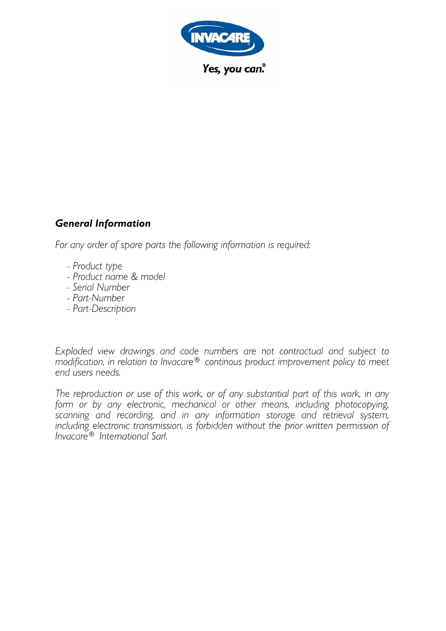

## **General Information**

For any order of spare parts the following information is required:

- Product type
- Product name & model
- Serial Number
- Part-Number
- Part-Description

Exploded view drawings and code numbers are not contractual and subject to modification, in relation to Invacare® continous product improvement policy to meet end users needs.

The reproduction or use of this work, or of any substantial part of this work, in any form or by any electronic, mechanical or other means, including photocopying, scanning and recording, and in any information storage and retrieval system,<br>including electronic transmission, is forbidden without the prior written permission of<br>Invacare® International Sarl.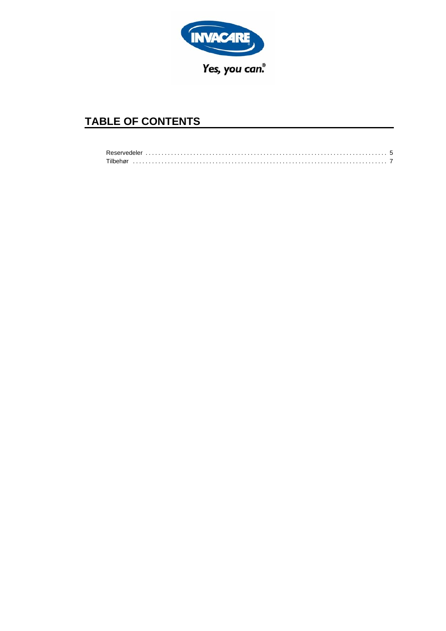

## **TABLE OF CONTENTS**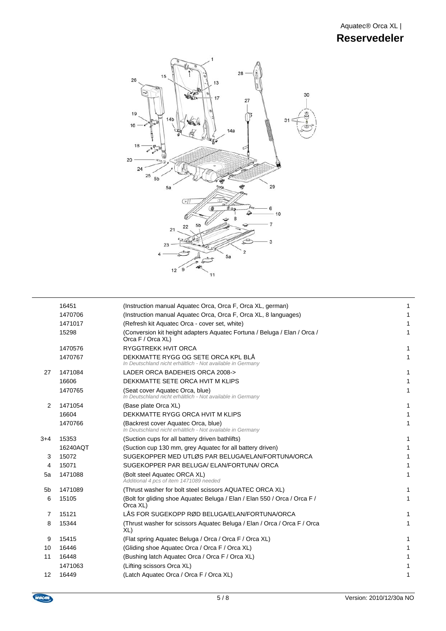

|       | 16451    | (Instruction manual Aquatec Orca, Orca F, Orca XL, german)                                        | 1 |
|-------|----------|---------------------------------------------------------------------------------------------------|---|
|       | 1470706  | (Instruction manual Aquatec Orca, Orca F, Orca XL, 8 languages)                                   |   |
|       | 1471017  | (Refresh kit Aquatec Orca - cover set, white)                                                     |   |
|       | 15298    | (Conversion kit height adapters Aquatec Fortuna / Beluga / Elan / Orca /<br>Orca F / Orca XL)     |   |
|       | 1470576  | <b>RYGGTREKK HVIT ORCA</b>                                                                        | 1 |
|       | 1470767  | DEKKMATTE RYGG OG SETE ORCA KPL BLÅ<br>In Deutschland nicht erhältlich - Not available in Germany | 1 |
| 27    | 1471084  | LADER ORCA BADEHEIS ORCA 2008->                                                                   | 1 |
|       | 16606    | DEKKMATTE SETE ORCA HVIT M KLIPS                                                                  |   |
|       | 1470765  | (Seat cover Aquatec Orca, blue)<br>In Deutschland nicht erhältlich - Not available in Germany     | 1 |
| 2     | 1471054  | (Base plate Orca XL)                                                                              |   |
|       | 16604    | DEKKMATTE RYGG ORCA HVIT M KLIPS                                                                  |   |
|       | 1470766  | (Backrest cover Aquatec Orca, blue)<br>In Deutschland nicht erhältlich - Not available in Germany | 1 |
| $3+4$ | 15353    | (Suction cups for all battery driven bathlifts)                                                   |   |
|       | 16240AQT | (Suction cup 130 mm, grey Aquatec for all battery driven)                                         |   |
| 3     | 15072    | SUGEKOPPER MED UTLØS PAR BELUGA/ELAN/FORTUNA/ORCA                                                 |   |
| 4     | 15071    | SUGEKOPPER PAR BELUGA/ ELAN/FORTUNA/ ORCA                                                         |   |
| 5a    | 1471088  | (Bolt steel Aquatec ORCA XL)<br>Additional 4 pcs of item 1471089 needed                           | 1 |
| 5b    | 1471089  | (Thrust washer for bolt steel scissors AQUATEC ORCA XL)                                           | 1 |
| 6     | 15105    | (Bolt for gliding shoe Aguatec Beluga / Elan / Elan 550 / Orca / Orca F /<br>Orca XL)             | 1 |
| 7     | 15121    | LÅS FOR SUGEKOPP RØD BELUGA/ELAN/FORTUNA/ORCA                                                     |   |
| 8     | 15344    | (Thrust washer for scissors Aquatec Beluga / Elan / Orca / Orca F / Orca<br>XL)                   |   |
| 9     | 15415    | (Flat spring Aquatec Beluga / Orca / Orca F / Orca XL)                                            | 1 |
| 10    | 16446    | (Gliding shoe Aquatec Orca / Orca F / Orca XL)                                                    |   |
| 11    | 16448    | (Bushing latch Aquatec Orca / Orca F / Orca XL)                                                   |   |
|       | 1471063  | (Lifting scissors Orca XL)                                                                        |   |
| 12    | 16449    | (Latch Aquatec Orca / Orca F / Orca XL)                                                           |   |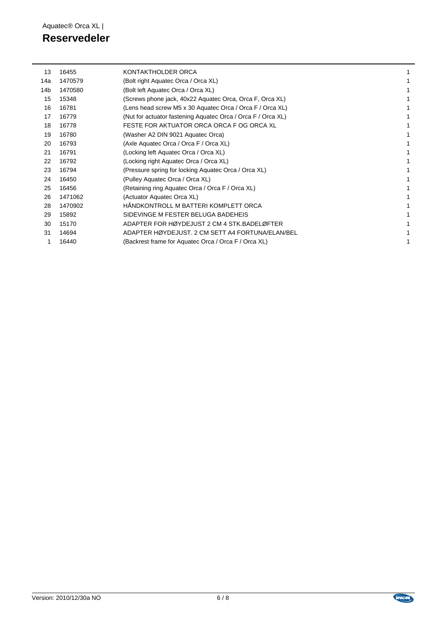## **Reservedeler**

| 13  | 16455   | KONTAKTHOLDER ORCA                                           |  |
|-----|---------|--------------------------------------------------------------|--|
| 14a | 1470579 | (Bolt right Aquatec Orca / Orca XL)                          |  |
| 14b | 1470580 | (Bolt left Aquatec Orca / Orca XL)                           |  |
| 15  | 15348   | (Screws phone jack, 40x22 Aquatec Orca, Orca F, Orca XL)     |  |
| 16  | 16781   | (Lens head screw M5 x 30 Aquatec Orca / Orca F / Orca XL)    |  |
| 17  | 16779   | (Nut for actuator fastening Aquatec Orca / Orca F / Orca XL) |  |
| 18  | 16778   | FESTE FOR AKTUATOR ORCA ORCA F OG ORCA XL                    |  |
| 19  | 16780   | (Washer A2 DIN 9021 Aquatec Orca)                            |  |
| 20  | 16793   | (Axle Aquatec Orca / Orca F / Orca XL)                       |  |
| 21  | 16791   | (Locking left Aquatec Orca / Orca XL)                        |  |
| 22  | 16792   | (Locking right Aquatec Orca / Orca XL)                       |  |
| 23  | 16794   | (Pressure spring for locking Aquatec Orca / Orca XL)         |  |
| 24  | 16450   | (Pulley Aquatec Orca / Orca XL)                              |  |
| 25  | 16456   | (Retaining ring Aquatec Orca / Orca F / Orca XL)             |  |
| 26  | 1471062 | (Actuator Aquatec Orca XL)                                   |  |
| 28  | 1470902 | HÅNDKONTROLL M BATTERI KOMPLETT ORCA                         |  |
| 29  | 15892   | SIDEVINGE M FESTER BELUGA BADEHEIS                           |  |
| 30  | 15170   | ADAPTER FOR HØYDEJUST 2 CM 4 STK. BADELØFTER                 |  |
| 31  | 14694   | ADAPTER HØYDEJUST, 2 CM SETT A4 FORTUNA/ELAN/BEL             |  |
|     | 16440   | (Backrest frame for Aquatec Orca / Orca F / Orca XL)         |  |
|     |         |                                                              |  |

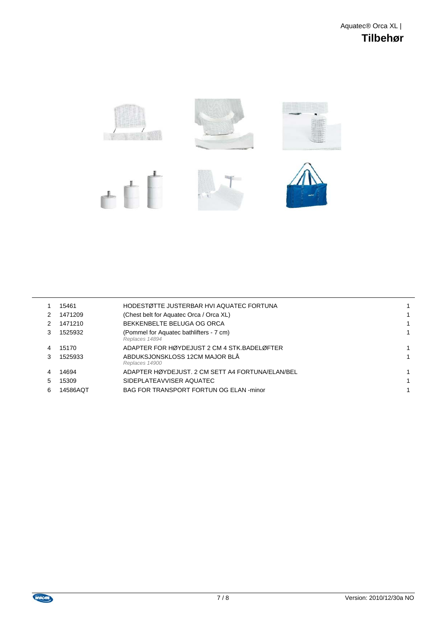

|   | 15461    | HODESTØTTE JUSTERBAR HVI AQUATEC FORTUNA                  |  |
|---|----------|-----------------------------------------------------------|--|
|   | 1471209  | (Chest belt for Aquatec Orca / Orca XL)                   |  |
|   | 1471210  | BEKKENBELTE BELUGA OG ORCA                                |  |
| 3 | 1525932  | (Pommel for Aquatec bathlifters - 7 cm)<br>Replaces 14894 |  |
|   | 15170    | ADAPTER FOR HØYDEJUST 2 CM 4 STK BADELØFTER               |  |
| 3 | 1525933  | ABDUKSJONSKLOSS 12CM MAJOR BLÅ<br>Replaces 14900          |  |
| 4 | 14694    | ADAPTER HØYDEJUST, 2 CM SETT A4 FORTUNA/ELAN/BEL          |  |
| 5 | 15309    | SIDEPLATEAVVISER AQUATEC                                  |  |
| 6 | 14586AOT | BAG FOR TRANSPORT FORTUN OG ELAN -minor                   |  |
|   |          |                                                           |  |